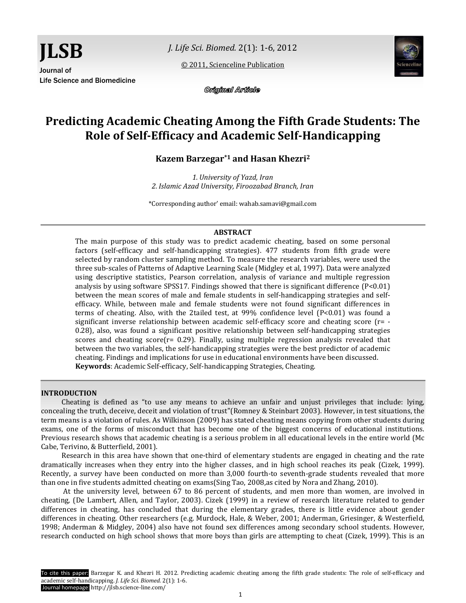*J. Life Sci. Biomed.* 2(1): 1-6, 2012

[© 2011, Scienceline Publication](http://www.science-line.com/index/)



Original Article

# **Predicting Academic Cheating Among the Fifth Grade Students: The Role of Self-Efficacy and Academic Self-Handicapping**

**Kazem Barzegar\*1 and Hasan Khezri<sup>2</sup>**

*1. University of Yazd, Iran 2. Islamic Azad University, Firoozabad Branch, Iran*

\*Corresponding author' email: wahab.samavi@gmail.com

## **ABSTRACT**

The main purpose of this study was to predict academic cheating, based on some personal factors (self-efficacy and self-handicapping strategies). 477 students from fifth grade were selected by random cluster sampling method. To measure the research variables, were used the three sub-scales of Patterns of Adaptive Learning Scale (Midgley et al, 1997). Data were analyzed using descriptive statistics, Pearson correlation, analysis of variance and multiple regression analysis by using software SPSS17. Findings showed that there is significant difference (P<0.01) between the mean scores of male and female students in self-handicapping strategies and selfefficacy. While, between male and female students were not found significant differences in terms of cheating. Also, with the 2tailed test, at  $99\%$  confidence level  $(P<0.01)$  was found a significant inverse relationship between academic self-efficacy score and cheating score (r= - 0.28), also, was found a significant positive relationship between self-handicapping strategies scores and cheating score( $r= 0.29$ ). Finally, using multiple regression analysis revealed that between the two variables, the self-handicapping strategies were the best predictor of academic cheating. Findings and implications for use in educational environments have been discussed. **Keywords**: Academic Self-efficacy, Self-handicapping Strategies, Cheating.

#### **INTRODUCTION**

Cheating is defined as "to use any means to achieve an unfair and unjust privileges that include: lying, concealing the truth, deceive, deceit and violation of trust"(Romney & Steinbart 2003). However, in test situations, the term means is a violation of rules. As Wilkinson (2009) has stated cheating means copying from other students during exams, one of the forms of misconduct that has become one of the biggest concerns of educational institutions. Previous research shows that academic cheating is a serious problem in all educational levels in the entire world (Mc Cabe, Terivino, & Butterfield, 2001).

Research in this area have shown that one-third of elementary students are engaged in cheating and the rate dramatically increases when they entry into the higher classes, and in high school reaches its peak (Cizek, 1999). Recently, a survey have been conducted on more than 3,000 fourth-to seventh-grade students revealed that more than one in five students admitted cheating on exams(Sing Tao, 2008,as cited by Nora and Zhang, 2010).

At the university level, between 67 to 86 percent of students, and men more than women, are involved in cheating, (De Lambert, Allen, and Taylor, 2003). Cizek (1999) in a review of research literature related to gender differences in cheating, has concluded that during the elementary grades, there is little evidence about gender differences in cheating. Other researchers (e.g. Murdock, Hale, & Weber, 2001; Anderman, Griesinger, & Westerfield, 1998; Anderman & Midgley, 2004) also have not found sex differences among secondary school students. However, research conducted on high school shows that more boys than girls are attempting to cheat (Cizek, 1999). This is an

To cite this paper: Barzegar K. and Khezri H. 2012. Predicting academic cheating among the fifth grade students: The role of self-efficacy and academic self-handicapping. *J. Life Sci. Biomed.* 2(1): 1-6. Journal homepage: http://jlsb.science-line.com/

1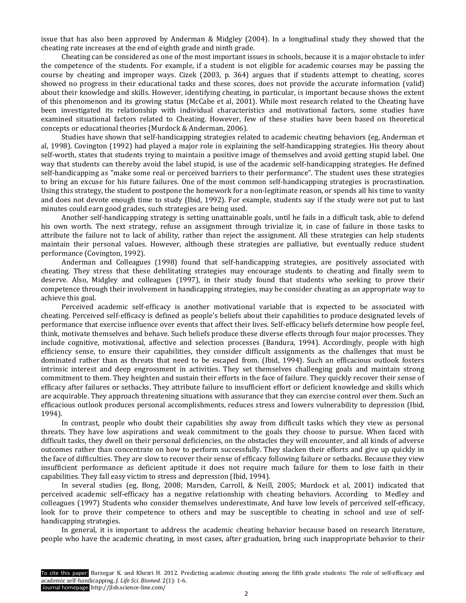issue that has also been approved by Anderman & Midgley (2004). In a longitudinal study they showed that the cheating rate increases at the end of eighth grade and ninth grade.

Cheating can be considered as one of the most important issues in schools, because it is a major obstacle to infer the competence of the students. For example, if a student is not eligible for academic courses may be passing the course by cheating and improper ways. Cizek (2003, p. 364) argues that if students attempt to cheating, scores showed no progress in their educational tasks and these scores, does not provide the accurate information (valid) about their knowledge and skills. However, identifying cheating, in particular, is important because shows the extent of this phenomenon and its growing status (McCabe et al, 2001). While most research related to the Cheating have been investigated its relationship with individual characteristics and motivational factors, some studies have examined situational factors related to Cheating. However, few of these studies have been based on theoretical concepts or educational theories (Murdock & Anderman, 2006).

Studies have shown that self-handicapping strategies related to academic cheating behaviors (eg, Anderman et al, 1998). Covington (1992) had played a major role in explaining the self-handicapping strategies. His theory about self-worth, states that students trying to maintain a positive image of themselves and avoid getting stupid label. One way that students can thereby avoid the label stupid, is use of the academic self-handicapping strategies. He defined self-handicapping as "make some real or perceived barriers to their performance". The student uses these strategies to bring an excuse for his future failures. One of the most common self-handicapping strategies is procrastination. Using this strategy, the student to postpone the homework for a non-legitimate reason, or spends all his time to vanity and does not devote enough time to study (Ibid, 1992). For example, students say if the study were not put to last minutes could earn good grades, such strategies are being used.

Another self-handicapping strategy is setting unattainable goals, until he fails in a difficult task, able to defend his own worth. The next strategy, refuse an assignment through trivialize it, in case of failure in those tasks to attribute the failure not to lack of ability, rather than reject the assignment. All these strategies can help students maintain their personal values. However, although these strategies are palliative, but eventually reduce student performance (Covington, 1992).

Anderman and Colleagues (1998) found that self-handicapping strategies, are positively associated with cheating. They stress that these debilitating strategies may encourage students to cheating and finally seem to deserve. Also, Midgley and colleagues (1997), in their study found that students who seeking to prove their competence through their involvement in handicapping strategies, may be consider cheating as an appropriate way to achieve this goal.

Perceived academic self-efficacy is another motivational variable that is expected to be associated with cheating. Perceived self-efficacy is defined as people's beliefs about their capabilities to produce designated levels of performance that exercise influence over events that affect their lives. Self-efficacy beliefs determine how people feel, think, motivate themselves and behave. Such beliefs produce these diverse effects through four major processes. They include cognitive, motivational, affective and selection processes (Bandura, 1994). Accordingly, people with high efficiency sense, to ensure their capabilities, they consider difficult assignments as the challenges that must be dominated rather than as threats that need to be escaped from. (Ibid, 1994). Such an efficacious outlook fosters intrinsic interest and deep engrossment in activities. They set themselves challenging goals and maintain strong commitment to them. They heighten and sustain their efforts in the face of failure. They quickly recover their sense of efficacy after failures or setbacks. They attribute failure to insufficient effort or deficient knowledge and skills which are acquirable. They approach threatening situations with assurance that they can exercise control over them. Such an efficacious outlook produces personal accomplishments, reduces stress and lowers vulnerability to depression (Ibid, 1994).

In contrast, people who doubt their capabilities shy away from difficult tasks which they view as personal threats. They have low aspirations and weak commitment to the goals they choose to pursue. When faced with difficult tasks, they dwell on their personal deficiencies, on the obstacles they will encounter, and all kinds of adverse outcomes rather than concentrate on how to perform successfully. They slacken their efforts and give up quickly in the face of difficulties. They are slow to recover their sense of efficacy following failure or setbacks. Because they view insufficient performance as deficient aptitude it does not require much failure for them to lose faith in their capabilities. They fall easy victim to stress and depression (Ibid, 1994).

In several studies (eg, Bong, 2008; Marsden, Carroll, & Neill, 2005; Murdock et al, 2001) indicated that perceived academic self-efficacy has a negative relationship with cheating behaviors. According to Medley and colleagues (1997) Students who consider themselves underestimate, And have low levels of perceived self-efficacy, look for to prove their competence to others and may be susceptible to cheating in school and use of selfhandicapping strategies.

In general, it is important to address the academic cheating behavior because based on research literature, people who have the academic cheating, in most cases, after graduation, bring such inappropriate behavior to their

To cite this paper: Barzegar K. and Khezri H. 2012. Predicting academic cheating among the fifth grade students: The role of self-efficacy and academic self-handicapping. *J. Life Sci. Biomed.* 2(1): 1-6.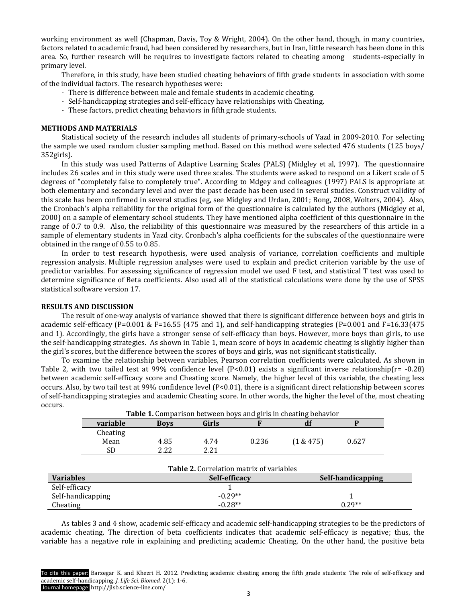working environment as well (Chapman, Davis, Toy & Wright, 2004). On the other hand, though, in many countries, factors related to academic fraud, had been considered by researchers, but in Iran, little research has been done in this area. So, further research will be requires to investigate factors related to cheating among students-especially in primary level.

Therefore, in this study, have been studied cheating behaviors of fifth grade students in association with some of the individual factors. The research hypotheses were:

- There is difference between male and female students in academic cheating.
- Self-handicapping strategies and self-efficacy have relationships with Cheating.
- These factors, predict cheating behaviors in fifth grade students.

#### **METHODS AND MATERIALS**

Statistical society of the research includes all students of primary-schools of Yazd in 2009-2010. For selecting the sample we used random cluster sampling method. Based on this method were selected 476 students (125 boys/ 352girls).

In this study was used Patterns of Adaptive Learning Scales (PALS) (Midgley et al, 1997). The questionnaire includes 26 scales and in this study were used three scales. The students were asked to respond on a Likert scale of 5 degrees of "completely false to completely true". According to Mdgey and colleagues (1997) PALS is appropriate at both elementary and secondary level and over the past decade has been used in several studies. Construct validity of this scale has been confirmed in several studies (eg, see Midgley and Urdan, 2001; Bong, 2008, Wolters, 2004). Also, the Cronbach's alpha reliability for the original form of the questionnaire is calculated by the authors (Midgley et al, 2000) on a sample of elementary school students. They have mentioned alpha coefficient of this questionnaire in the range of 0.7 to 0.9. Also, the reliability of this questionnaire was measured by the researchers of this article in a sample of elementary students in Yazd city. Cronbach's alpha coefficients for the subscales of the questionnaire were obtained in the range of 0.55 to 0.85.

In order to test research hypothesis, were used analysis of variance, correlation coefficients and multiple regression analysis. Multiple regression analyses were used to explain and predict criterion variable by the use of predictor variables. For assessing significance of regression model we used F test, and statistical T test was used to determine significance of Beta coefficients. Also used all of the statistical calculations were done by the use of SPSS statistical software version 17.

#### **RESULTS AND DISCUSSION**

The result of one-way analysis of variance showed that there is significant difference between boys and girls in academic self-efficacy (P=0.001 & F=16.55 (475 and 1), and self-handicapping strategies (P=0.001 and F=16.33(475 and 1). Accordingly, the girls have a stronger sense of self-efficacy than boys. However, more boys than girls, to use the self-handicapping strategies. As shown in Table 1, mean score of boys in academic cheating is slightly higher than the girl's scores, but the difference between the scores of boys and girls, was not significant statistically.

To examine the relationship between variables, Pearson correlation coefficients were calculated. As shown in Table 2, with two tailed test at 99% confidence level  $(P< 0.01)$  exists a significant inverse relationship(r= -0.28) between academic self-efficacy score and Cheating score. Namely, the higher level of this variable, the cheating less occurs. Also, by two tail test at 99% confidence level (P<0.01), there is a significant direct relationship between scores of self-handicapping strategies and academic Cheating score. In other words, the higher the level of the, most cheating occurs.

|                                                 | Table 1. Comparison between boys and girls in cheating behavior |             |               |       |                   |       |  |  |  |  |  |
|-------------------------------------------------|-----------------------------------------------------------------|-------------|---------------|-------|-------------------|-------|--|--|--|--|--|
|                                                 | variable                                                        | <b>Boys</b> | <b>Girls</b>  |       | df                | P     |  |  |  |  |  |
|                                                 | Cheating                                                        |             |               |       |                   |       |  |  |  |  |  |
|                                                 | Mean                                                            | 4.85        | 4.74          | 0.236 | (1 & 475)         | 0.627 |  |  |  |  |  |
|                                                 | <b>SD</b>                                                       | 2.22        | 2.21          |       |                   |       |  |  |  |  |  |
|                                                 |                                                                 |             |               |       |                   |       |  |  |  |  |  |
| <b>Table 2.</b> Correlation matrix of variables |                                                                 |             |               |       |                   |       |  |  |  |  |  |
| <b>Variables</b>                                |                                                                 |             | Self-efficacy |       | Self-handicapping |       |  |  |  |  |  |
| Self-efficacy                                   |                                                                 |             |               |       |                   |       |  |  |  |  |  |
| Self-handicapping                               |                                                                 |             | $-0.29**$     |       |                   |       |  |  |  |  |  |
| Cheating                                        |                                                                 |             | $-0.28**$     |       | $0.29**$          |       |  |  |  |  |  |

As tables 3 and 4 show, academic self-efficacy and academic self-handicapping strategies to be the predictors of academic cheating. The direction of beta coefficients indicates that academic self-efficacy is negative; thus, the variable has a negative role in explaining and predicting academic Cheating. On the other hand, the positive beta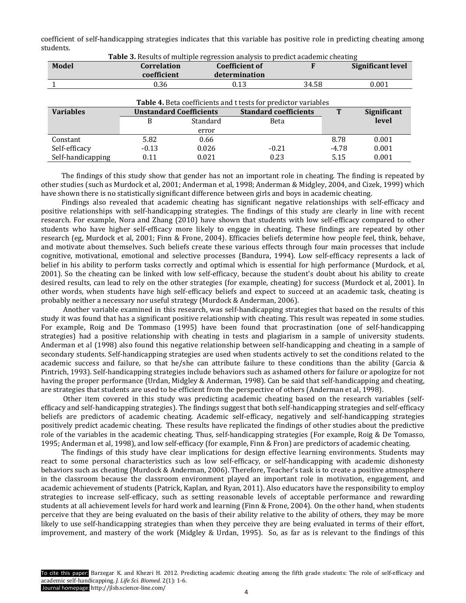coefficient of self-handicapping strategies indicates that this variable has positive role in predicting cheating among students.

| Table 3. Results of multiple regression analysis to predict academic cheating |                                |          |                              |  |       |                          |  |  |  |  |  |  |
|-------------------------------------------------------------------------------|--------------------------------|----------|------------------------------|--|-------|--------------------------|--|--|--|--|--|--|
| <b>Model</b>                                                                  | <b>Correlation</b>             |          | <b>Coefficient of</b>        |  |       | <b>Significant level</b> |  |  |  |  |  |  |
|                                                                               | coefficient                    |          | determination                |  |       |                          |  |  |  |  |  |  |
|                                                                               | 0.36                           |          | 34.58<br>0.13                |  |       | 0.001                    |  |  |  |  |  |  |
| Table 4. Beta coefficients and t tests for predictor variables                |                                |          |                              |  |       |                          |  |  |  |  |  |  |
| <b>Variables</b>                                                              | <b>Unstandard Coefficients</b> |          | <b>Standard coefficients</b> |  | т     | Significant              |  |  |  |  |  |  |
|                                                                               | B                              | Standard | <b>Beta</b>                  |  |       | level                    |  |  |  |  |  |  |
|                                                                               |                                | error    |                              |  |       |                          |  |  |  |  |  |  |
| Constant                                                                      | 5.82                           | 0.66     |                              |  | 8.78  | 0.001                    |  |  |  |  |  |  |
| Self-efficacy                                                                 | $-0.13$                        | 0.026    | $-0.21$                      |  | -4.78 | 0.001                    |  |  |  |  |  |  |
| Self-handicapping                                                             | 0.11                           | 0.021    | 0.23                         |  | 5.15  | 0.001                    |  |  |  |  |  |  |

The findings of this study show that gender has not an important role in cheating. The finding is repeated by other studies (such as Murdock et al, 2001; Anderman et al, 1998; Anderman & Midgley, 2004, and Cizek, 1999) which have shown there is no statistically significant difference between girls and boys in academic cheating.

Findings also revealed that academic cheating has significant negative relationships with self-efficacy and positive relationships with self-handicapping strategies. The findings of this study are clearly in line with recent research. For example, Nora and Zhang (2010) have shown that students with low self-efficacy compared to other students who have higher self-efficacy more likely to engage in cheating. These findings are repeated by other research (eg, Murdock et al, 2001; Finn & Frone, 2004). Efficacies beliefs determine how people feel, think, behave, and motivate about themselves. Such beliefs create these various effects through four main processes that include cognitive, motivational, emotional and selective processes (Bandura, 1994). Low self-efficacy represents a lack of belief in his ability to perform tasks correctly and optimal which is essential for high performance (Murdock, et al, 2001). So the cheating can be linked with low self-efficacy, because the student's doubt about his ability to create desired results, can lead to rely on the other strategies (for example, cheating) for success (Murdock et al, 2001). In other words, when students have high self-efficacy beliefs and expect to succeed at an academic task, cheating is probably neither a necessary nor useful strategy (Murdock & Anderman, 2006).

Another variable examined in this research, was self-handicapping strategies that based on the results of this study it was found that has a significant positive relationship with cheating. This result was repeated in some studies. For example, Roig and De Tommaso (1995) have been found that procrastination (one of self-handicapping strategies) had a positive relationship with cheating in tests and plagiarism in a sample of university students. Anderman et al (1998) also found this negative relationship between self-handicapping and cheating in a sample of secondary students. Self-handicapping strategies are used when students actively to set the conditions related to the academic success and failure, so that he/she can attribute failure to these conditions than the ability (Garcia & Pintrich, 1993). Self-handicapping strategies include behaviors such as ashamed others for failure or apologize for not having the proper performance (Urdan, Midgley & Anderman, 1998). Can be said that self-handicapping and cheating, are strategies that students are used to be efficient from the perspective of others (Anderman et al, 1998).

Other item covered in this study was predicting academic cheating based on the research variables (selfefficacy and self-handicapping strategies). The findings suggest that both self-handicapping strategies and self-efficacy beliefs are predictors of academic cheating. Academic self-efficacy, negatively and self-handicapping strategies positively predict academic cheating. These results have replicated the findings of other studies about the predictive role of the variables in the academic cheating. Thus, self-handicapping strategies (For example, Roig & De Tomasso, 1995; Anderman et al, 1998), and low self-efficacy (for example, Finn & Fron) are predictors of academic cheating.

The findings of this study have clear implications for design effective learning environments. Students may react to some personal characteristics such as low self-efficacy, or self-handicapping with academic dishonesty behaviors such as cheating (Murdock & Anderman, 2006). Therefore, Teacher's task is to create a positive atmosphere in the classroom because the classroom environment played an important role in motivation, engagement, and academic achievement of students (Patrick, Kaplan, and Ryan, 2011). Also educators have the responsibility to employ strategies to increase self-efficacy, such as setting reasonable levels of acceptable performance and rewarding students at all achievement levels for hard work and learning (Finn & Frone, 2004). On the other hand, when students perceive that they are being evaluated on the basis of their ability relative to the ability of others, they may be more likely to use self-handicapping strategies than when they perceive they are being evaluated in terms of their effort, improvement, and mastery of the work (Midgley & Urdan, 1995). So, as far as is relevant to the findings of this

To cite this paper: Barzegar K. and Khezri H. 2012. Predicting academic cheating among the fifth grade students: The role of self-efficacy and academic self-handicapping. *J. Life Sci. Biomed.* 2(1): 1-6.